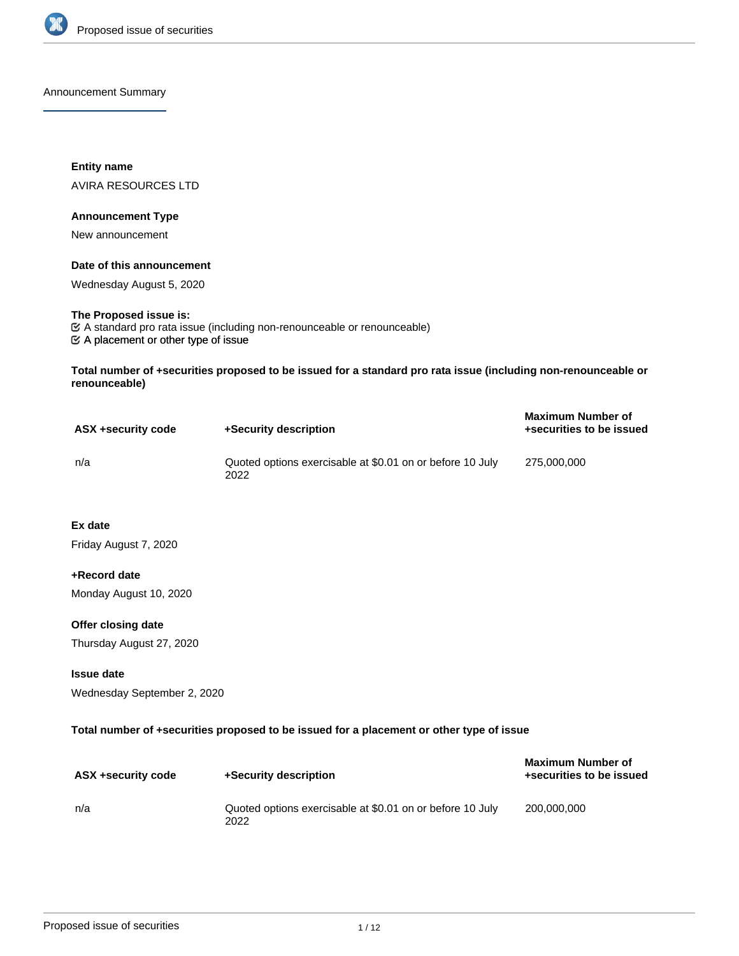

Announcement Summary

**Entity name** AVIRA RESOURCES LTD

#### **Announcement Type**

New announcement

## **Date of this announcement**

Wednesday August 5, 2020

#### **The Proposed issue is:**

 $\mathfrak{C}$  A placement or other type of issue A standard pro rata issue (including non-renounceable or renounceable)

**Total number of +securities proposed to be issued for a standard pro rata issue (including non-renounceable or renounceable)**

| ASX +security code | +Security description                                             | <b>Maximum Number of</b><br>+securities to be issued |
|--------------------|-------------------------------------------------------------------|------------------------------------------------------|
| n/a                | Quoted options exercisable at \$0.01 on or before 10 July<br>2022 | 275,000,000                                          |

**Ex date**

Friday August 7, 2020

#### **+Record date**

Monday August 10, 2020

## **Offer closing date**

Thursday August 27, 2020

## **Issue date**

Wednesday September 2, 2020

### **Total number of +securities proposed to be issued for a placement or other type of issue**

| ASX +security code | +Security description                                             | <b>Maximum Number of</b><br>+securities to be issued |
|--------------------|-------------------------------------------------------------------|------------------------------------------------------|
| n/a                | Quoted options exercisable at \$0.01 on or before 10 July<br>2022 | 200.000.000                                          |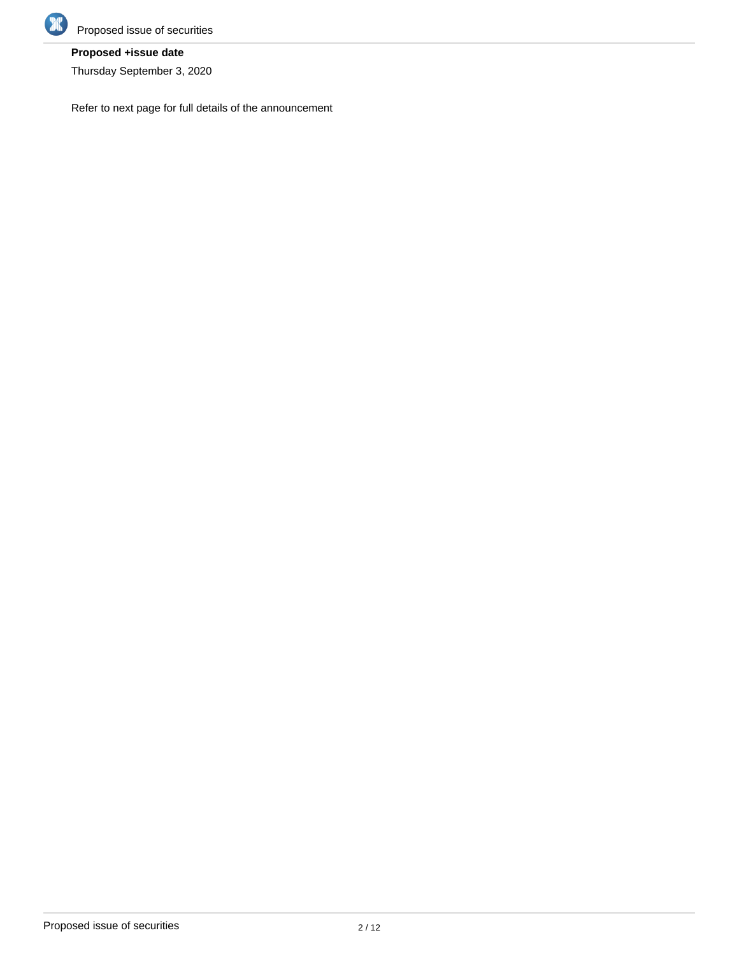

# **Proposed +issue date**

Thursday September 3, 2020

Refer to next page for full details of the announcement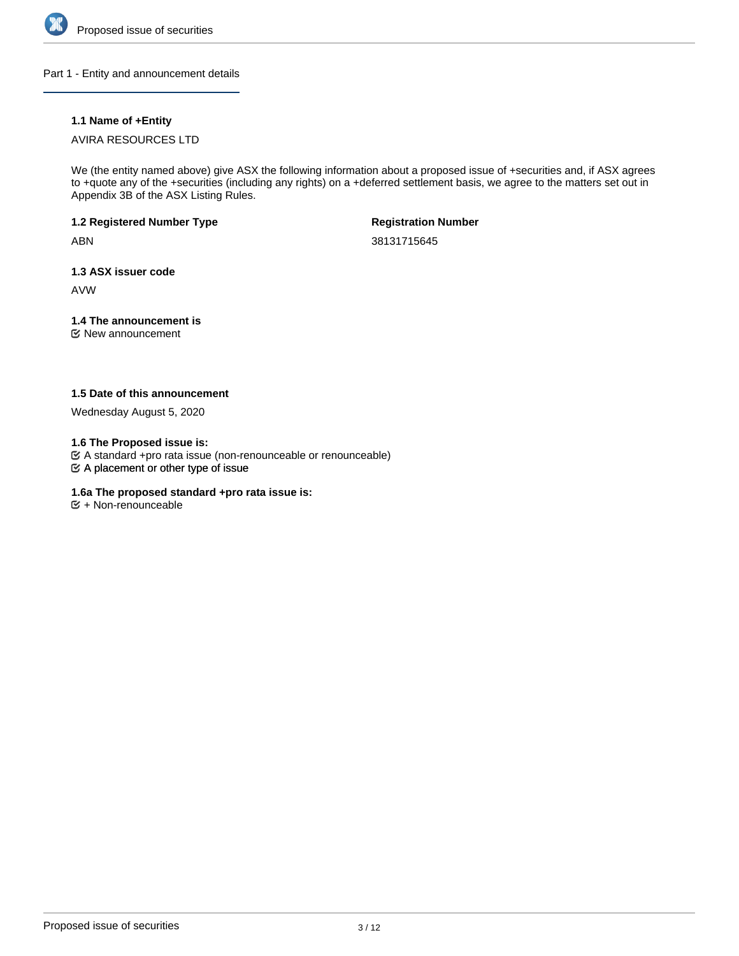

Part 1 - Entity and announcement details

## **1.1 Name of +Entity**

## AVIRA RESOURCES LTD

We (the entity named above) give ASX the following information about a proposed issue of +securities and, if ASX agrees to +quote any of the +securities (including any rights) on a +deferred settlement basis, we agree to the matters set out in Appendix 3B of the ASX Listing Rules.

### **1.2 Registered Number Type**

ABN

**Registration Number**

38131715645

## **1.3 ASX issuer code**

AVW

## **1.4 The announcement is**

New announcement

## **1.5 Date of this announcement**

Wednesday August 5, 2020

**1.6 The Proposed issue is:**

A standard +pro rata issue (non-renounceable or renounceable)

 $\mathfrak{S}$  A placement or other type of issue

## **1.6a The proposed standard +pro rata issue is:**

 $\mathfrak{S}$  + Non-renounceable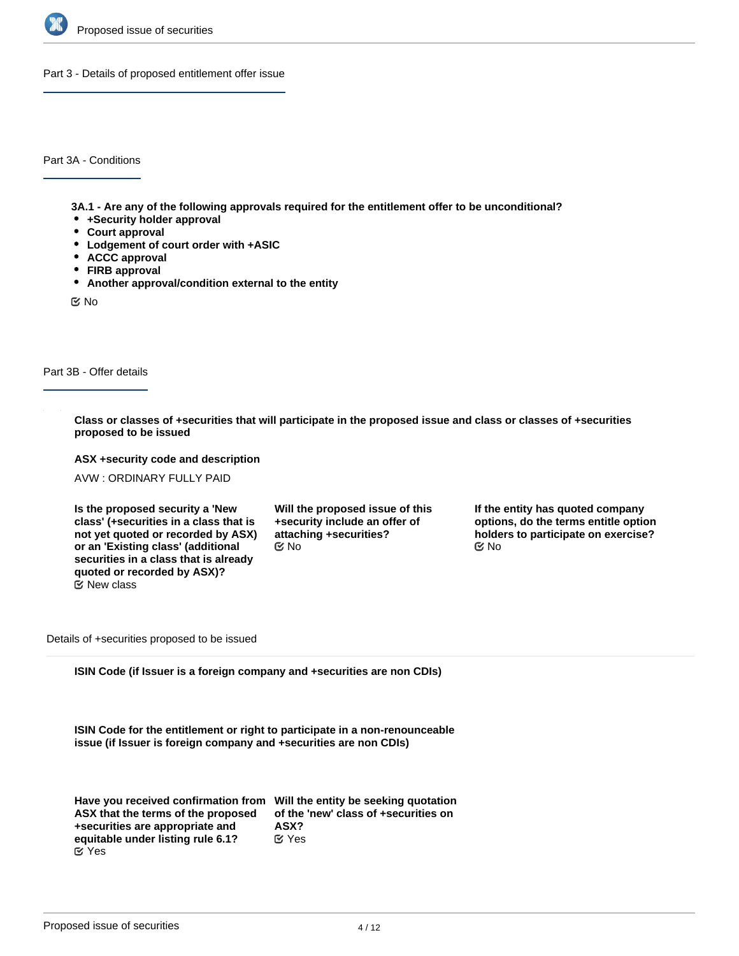

Part 3 - Details of proposed entitlement offer issue

Part 3A - Conditions

**3A.1 - Are any of the following approvals required for the entitlement offer to be unconditional?**

- **+Security holder approval**
- **Court approval**
- **Lodgement of court order with +ASIC**
- **ACCC approval**
- **FIRB approval**
- **Another approval/condition external to the entity**

No

Part 3B - Offer details

**Class or classes of +securities that will participate in the proposed issue and class or classes of +securities proposed to be issued**

**ASX +security code and description**

AVW : ORDINARY FULLY PAID

**Is the proposed security a 'New class' (+securities in a class that is not yet quoted or recorded by ASX) or an 'Existing class' (additional securities in a class that is already quoted or recorded by ASX)?** New class

**Will the proposed issue of this +security include an offer of attaching +securities?**  $\mathbb C$  No  $\mathbb C$  No  $\mathbb C$  No

**If the entity has quoted company options, do the terms entitle option holders to participate on exercise?**

Details of +securities proposed to be issued

**ISIN Code (if Issuer is a foreign company and +securities are non CDIs)**

**ISIN Code for the entitlement or right to participate in a non-renounceable issue (if Issuer is foreign company and +securities are non CDIs)**

| Have you received confirmation from Will the entity be seeking quotation |                                      |
|--------------------------------------------------------------------------|--------------------------------------|
| ASX that the terms of the proposed                                       | of the 'new' class of +securities on |
| +securities are appropriate and                                          | ASX?                                 |
| equitable under listing rule 6.1?                                        | $\alpha$ Yes                         |
| <b>⊘</b> Yes                                                             |                                      |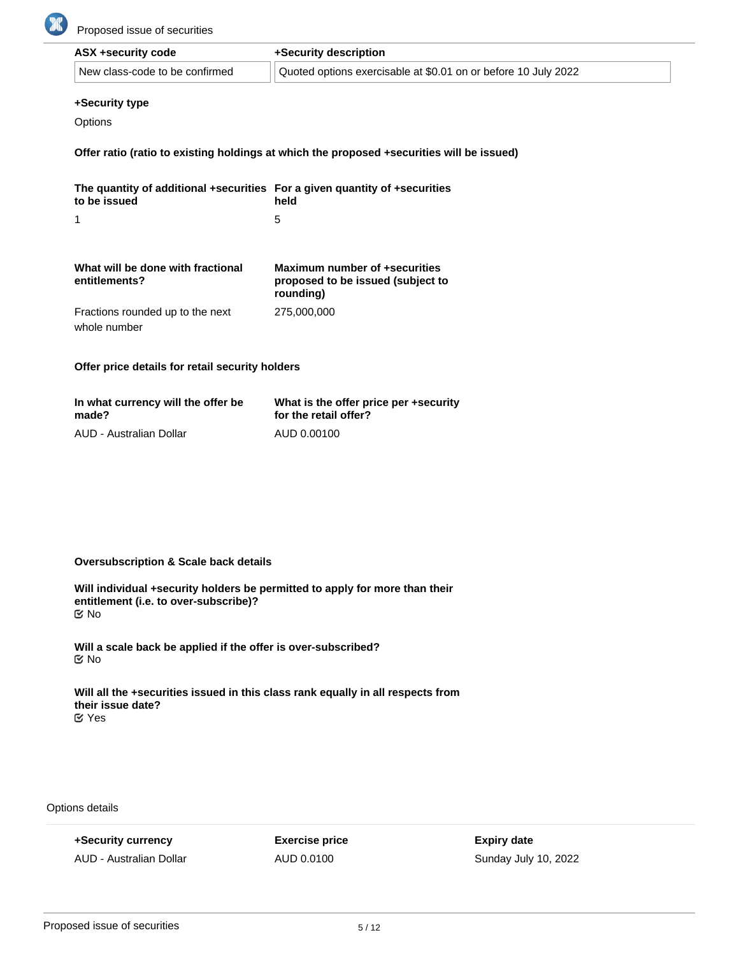

| ASX +security code             | +Security description                                          |  |
|--------------------------------|----------------------------------------------------------------|--|
| New class-code to be confirmed | Quoted options exercisable at \$0.01 on or before 10 July 2022 |  |

#### **+Security type**

**Options** 

**Offer ratio (ratio to existing holdings at which the proposed +securities will be issued)**

| The quantity of additional +securities For a given quantity of +securities<br>to be issued | held                                                                            |
|--------------------------------------------------------------------------------------------|---------------------------------------------------------------------------------|
| 1                                                                                          | 5                                                                               |
|                                                                                            |                                                                                 |
| What will be done with fractional<br>entitlements?                                         | Maximum number of +securities<br>proposed to be issued (subject to<br>rounding) |
| Fractions rounded up to the next<br>whole number                                           | 275,000,000                                                                     |

**Offer price details for retail security holders**

| In what currency will the offer be | What is the offer price per +security |
|------------------------------------|---------------------------------------|
| made?                              | for the retail offer?                 |
| AUD - Australian Dollar            | AUD 0.00100                           |

## **Oversubscription & Scale back details**

**Will individual +security holders be permitted to apply for more than their entitlement (i.e. to over-subscribe)?** No

**Will a scale back be applied if the offer is over-subscribed?** No

**Will all the +securities issued in this class rank equally in all respects from their issue date?** Yes

Options details

**+Security currency** AUD - Australian Dollar **Exercise price** AUD 0.0100

**Expiry date** Sunday July 10, 2022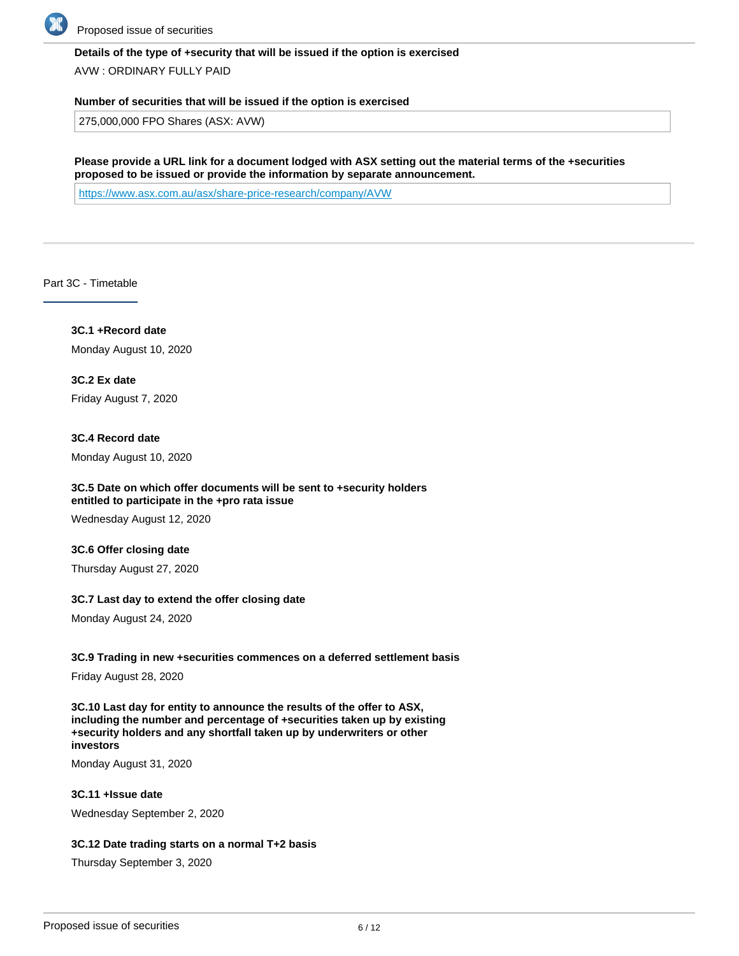

### **Details of the type of +security that will be issued if the option is exercised**

AVW : ORDINARY FULLY PAID

#### **Number of securities that will be issued if the option is exercised**

275,000,000 FPO Shares (ASX: AVW)

**Please provide a URL link for a document lodged with ASX setting out the material terms of the +securities proposed to be issued or provide the information by separate announcement.**

<https://www.asx.com.au/asx/share-price-research/company/AVW>

Part 3C - Timetable

**3C.1 +Record date** Monday August 10, 2020

**3C.2 Ex date** Friday August 7, 2020

**3C.4 Record date** Monday August 10, 2020

## **3C.5 Date on which offer documents will be sent to +security holders entitled to participate in the +pro rata issue**

Wednesday August 12, 2020

#### **3C.6 Offer closing date**

Thursday August 27, 2020

#### **3C.7 Last day to extend the offer closing date**

Monday August 24, 2020

#### **3C.9 Trading in new +securities commences on a deferred settlement basis**

Friday August 28, 2020

**3C.10 Last day for entity to announce the results of the offer to ASX, including the number and percentage of +securities taken up by existing +security holders and any shortfall taken up by underwriters or other investors**

Monday August 31, 2020

**3C.11 +Issue date** Wednesday September 2, 2020

#### **3C.12 Date trading starts on a normal T+2 basis**

Thursday September 3, 2020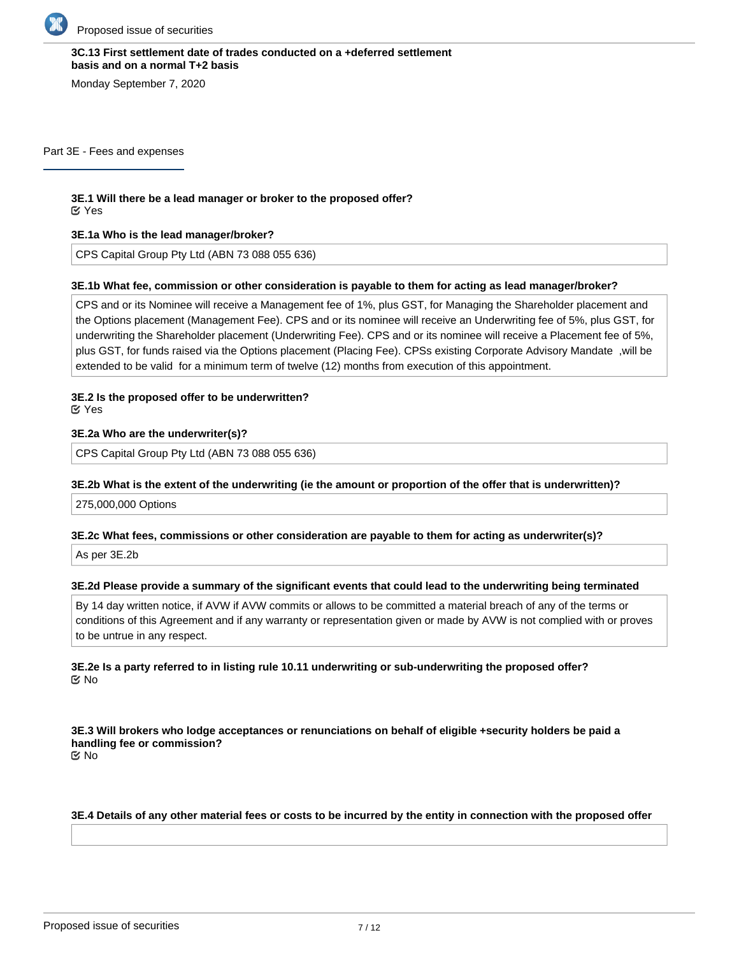

## **3C.13 First settlement date of trades conducted on a +deferred settlement basis and on a normal T+2 basis**

Monday September 7, 2020

Part 3E - Fees and expenses

# **3E.1 Will there be a lead manager or broker to the proposed offer?**

Yes

## **3E.1a Who is the lead manager/broker?**

CPS Capital Group Pty Ltd (ABN 73 088 055 636)

#### **3E.1b What fee, commission or other consideration is payable to them for acting as lead manager/broker?**

CPS and or its Nominee will receive a Management fee of 1%, plus GST, for Managing the Shareholder placement and the Options placement (Management Fee). CPS and or its nominee will receive an Underwriting fee of 5%, plus GST, for underwriting the Shareholder placement (Underwriting Fee). CPS and or its nominee will receive a Placement fee of 5%, plus GST, for funds raised via the Options placement (Placing Fee). CPSs existing Corporate Advisory Mandate ,will be extended to be valid for a minimum term of twelve (12) months from execution of this appointment.

# **3E.2 Is the proposed offer to be underwritten?**

Yes

## **3E.2a Who are the underwriter(s)?**

CPS Capital Group Pty Ltd (ABN 73 088 055 636)

## **3E.2b What is the extent of the underwriting (ie the amount or proportion of the offer that is underwritten)?**

275,000,000 Options

#### **3E.2c What fees, commissions or other consideration are payable to them for acting as underwriter(s)?**

As per 3E.2b

#### **3E.2d Please provide a summary of the significant events that could lead to the underwriting being terminated**

By 14 day written notice, if AVW if AVW commits or allows to be committed a material breach of any of the terms or conditions of this Agreement and if any warranty or representation given or made by AVW is not complied with or proves to be untrue in any respect.

## **3E.2e Is a party referred to in listing rule 10.11 underwriting or sub-underwriting the proposed offer?** No

**3E.3 Will brokers who lodge acceptances or renunciations on behalf of eligible +security holders be paid a handling fee or commission?** No

#### **3E.4 Details of any other material fees or costs to be incurred by the entity in connection with the proposed offer**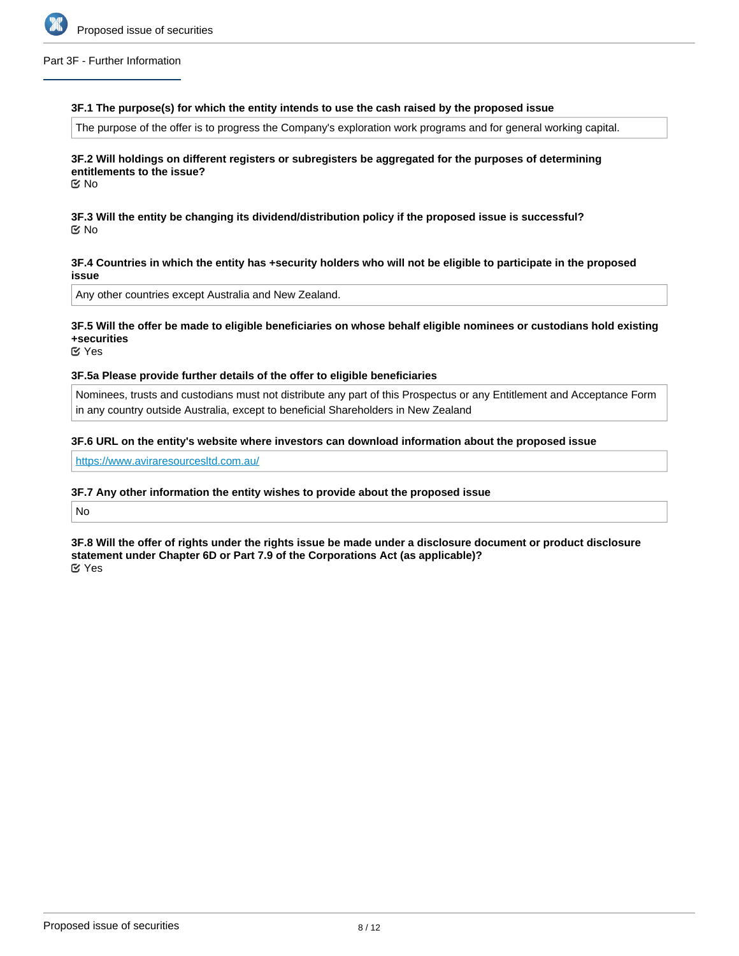

#### Part 3F - Further Information

#### **3F.1 The purpose(s) for which the entity intends to use the cash raised by the proposed issue**

The purpose of the offer is to progress the Company's exploration work programs and for general working capital.

## **3F.2 Will holdings on different registers or subregisters be aggregated for the purposes of determining entitlements to the issue?**

No

**3F.3 Will the entity be changing its dividend/distribution policy if the proposed issue is successful?** No

#### **3F.4 Countries in which the entity has +security holders who will not be eligible to participate in the proposed issue**

Any other countries except Australia and New Zealand.

## **3F.5 Will the offer be made to eligible beneficiaries on whose behalf eligible nominees or custodians hold existing +securities**

**⊘** Yes

#### **3F.5a Please provide further details of the offer to eligible beneficiaries**

Nominees, trusts and custodians must not distribute any part of this Prospectus or any Entitlement and Acceptance Form in any country outside Australia, except to beneficial Shareholders in New Zealand

#### **3F.6 URL on the entity's website where investors can download information about the proposed issue**

<https://www.aviraresourcesltd.com.au/>

#### **3F.7 Any other information the entity wishes to provide about the proposed issue**

No

**3F.8 Will the offer of rights under the rights issue be made under a disclosure document or product disclosure statement under Chapter 6D or Part 7.9 of the Corporations Act (as applicable)?** Yes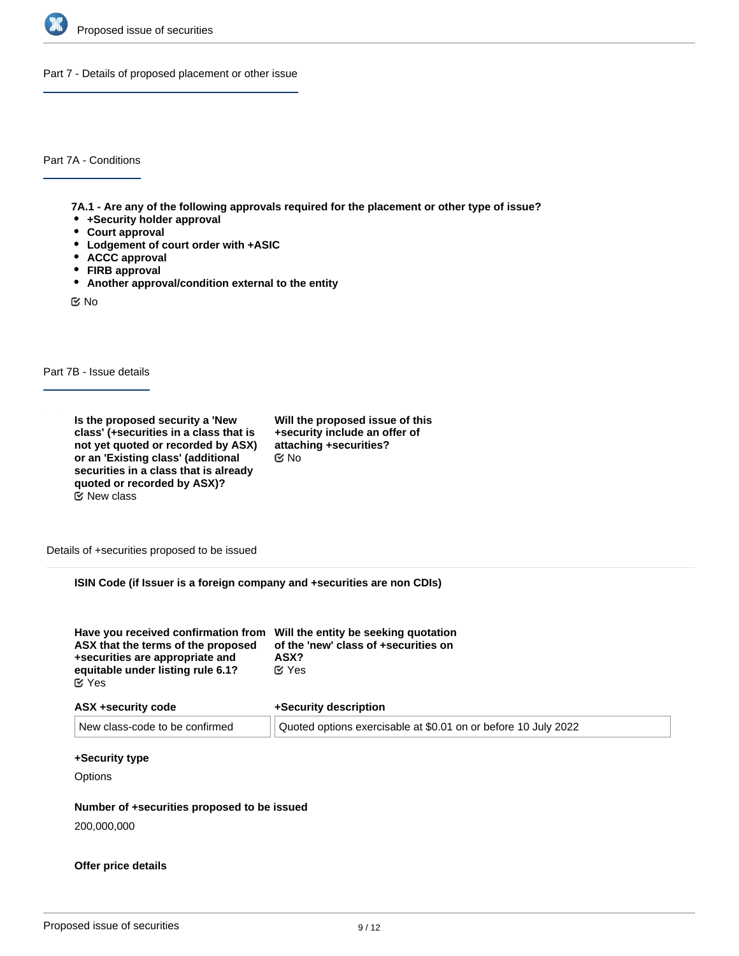

Part 7 - Details of proposed placement or other issue

Part 7A - Conditions

**7A.1 - Are any of the following approvals required for the placement or other type of issue?**

- **+Security holder approval**
- **Court approval**
- **Lodgement of court order with +ASIC**
- **ACCC approval**
- **FIRB approval**
- **Another approval/condition external to the entity**

No

Part 7B - Issue details

**Is the proposed security a 'New class' (+securities in a class that is not yet quoted or recorded by ASX) or an 'Existing class' (additional securities in a class that is already quoted or recorded by ASX)?**  $E$  New class

**Will the proposed issue of this +security include an offer of attaching +securities?** No

Details of +securities proposed to be issued

**ISIN Code (if Issuer is a foreign company and +securities are non CDIs)**

| Have you received confirmation from Will the entity be seeking quotation<br>ASX that the terms of the proposed<br>+securities are appropriate and<br>equitable under listing rule 6.1?<br>ビ Yes | of the 'new' class of +securities on<br>ASX?<br>$\alpha$ Yes |
|-------------------------------------------------------------------------------------------------------------------------------------------------------------------------------------------------|--------------------------------------------------------------|
| ASX +security code                                                                                                                                                                              | +Security description                                        |

| 1.911.199991117.999997         |                                                                |
|--------------------------------|----------------------------------------------------------------|
| New class-code to be confirmed | Quoted options exercisable at \$0.01 on or before 10 July 2022 |

#### **+Security type**

**Options** 

#### **Number of +securities proposed to be issued**

200,000,000

# **Offer price details**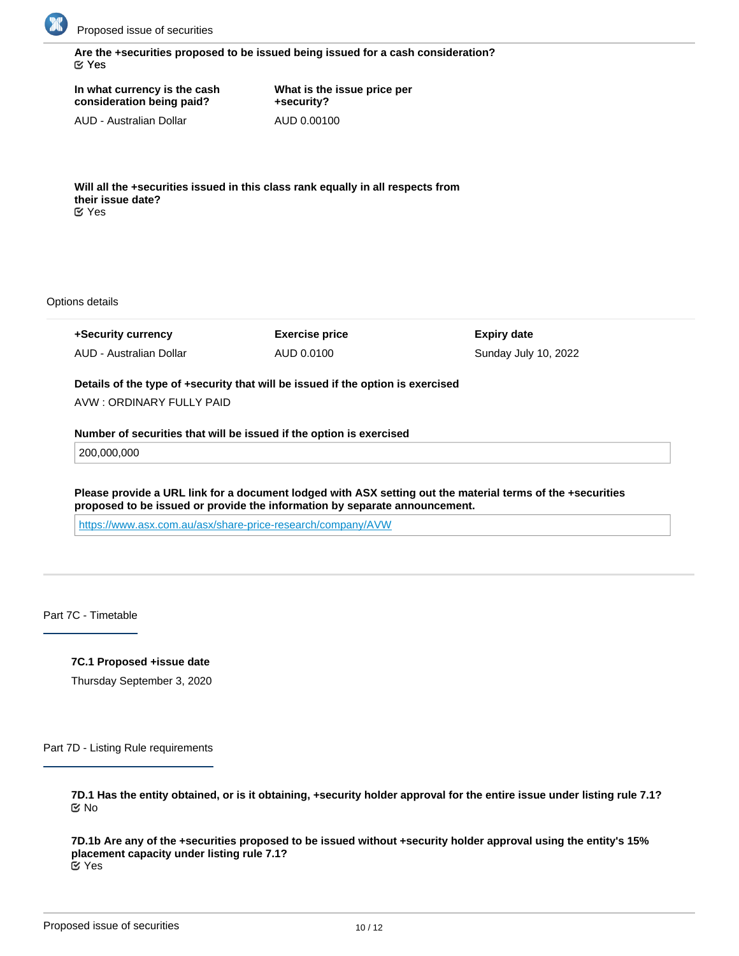

**Are the +securities proposed to be issued being issued for a cash consideration?** Yes

**In what currency is the cash consideration being paid?**

**What is the issue price per +security?** AUD 0.00100

AUD - Australian Dollar

**Will all the +securities issued in this class rank equally in all respects from their issue date?** Yes

Options details

**+Security currency** AUD - Australian Dollar **Exercise price** AUD 0.0100

**Expiry date** Sunday July 10, 2022

**Details of the type of +security that will be issued if the option is exercised**

AVW : ORDINARY FULLY PAID

**Number of securities that will be issued if the option is exercised**

200,000,000

**Please provide a URL link for a document lodged with ASX setting out the material terms of the +securities proposed to be issued or provide the information by separate announcement.**

<https://www.asx.com.au/asx/share-price-research/company/AVW>

Part 7C - Timetable

**7C.1 Proposed +issue date**

Thursday September 3, 2020

Part 7D - Listing Rule requirements

**7D.1 Has the entity obtained, or is it obtaining, +security holder approval for the entire issue under listing rule 7.1?** No

**7D.1b Are any of the +securities proposed to be issued without +security holder approval using the entity's 15% placement capacity under listing rule 7.1?** Yes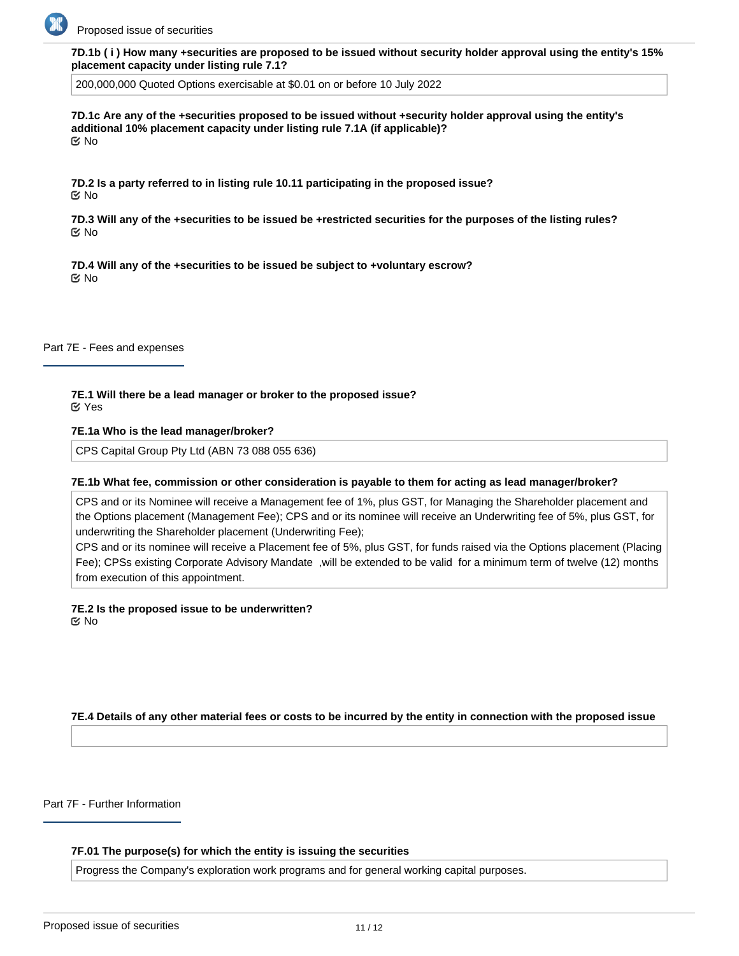

**7D.1b ( i ) How many +securities are proposed to be issued without security holder approval using the entity's 15% placement capacity under listing rule 7.1?**

200,000,000 Quoted Options exercisable at \$0.01 on or before 10 July 2022

**7D.1c Are any of the +securities proposed to be issued without +security holder approval using the entity's additional 10% placement capacity under listing rule 7.1A (if applicable)?** No

**7D.2 Is a party referred to in listing rule 10.11 participating in the proposed issue?** No

**7D.3 Will any of the +securities to be issued be +restricted securities for the purposes of the listing rules?** No

**7D.4 Will any of the +securities to be issued be subject to +voluntary escrow?** No

Part 7E - Fees and expenses

**7E.1 Will there be a lead manager or broker to the proposed issue?** Yes

#### **7E.1a Who is the lead manager/broker?**

CPS Capital Group Pty Ltd (ABN 73 088 055 636)

#### **7E.1b What fee, commission or other consideration is payable to them for acting as lead manager/broker?**

CPS and or its Nominee will receive a Management fee of 1%, plus GST, for Managing the Shareholder placement and the Options placement (Management Fee); CPS and or its nominee will receive an Underwriting fee of 5%, plus GST, for underwriting the Shareholder placement (Underwriting Fee);

CPS and or its nominee will receive a Placement fee of 5%, plus GST, for funds raised via the Options placement (Placing Fee); CPSs existing Corporate Advisory Mandate ,will be extended to be valid for a minimum term of twelve (12) months from execution of this appointment.

**7E.2 Is the proposed issue to be underwritten?** No

**7E.4 Details of any other material fees or costs to be incurred by the entity in connection with the proposed issue**

Part 7F - Further Information

#### **7F.01 The purpose(s) for which the entity is issuing the securities**

Progress the Company's exploration work programs and for general working capital purposes.